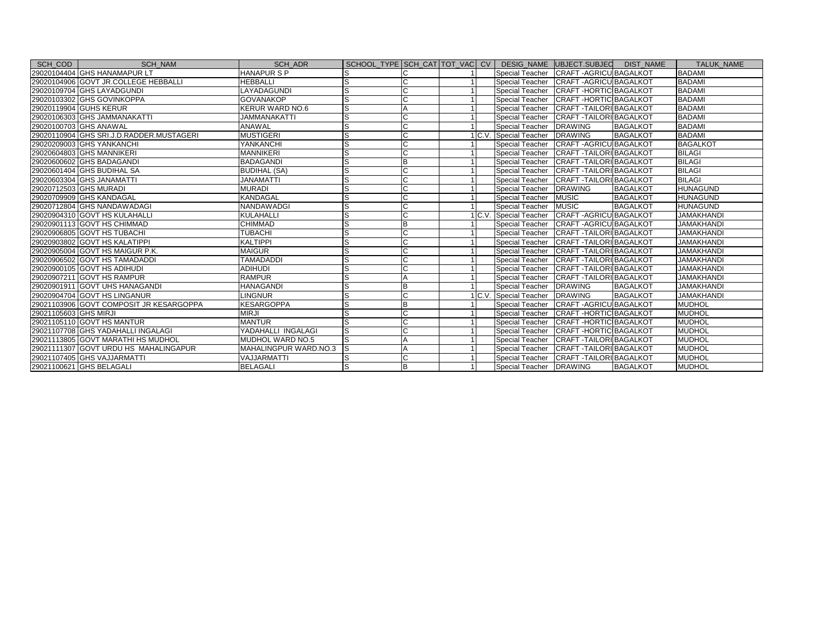| SCH COD                | <b>SCH NAM</b>                           | SCH ADR                | SCHOOL TYPE SCH CAT TOT VAC CV |   |  |                         | DESIG NAME UBJECT.SUBJEC DIST NAME        |                 | <b>TALUK NAME</b> |
|------------------------|------------------------------------------|------------------------|--------------------------------|---|--|-------------------------|-------------------------------------------|-----------------|-------------------|
|                        | 29020104404 GHS HANAMAPUR LT             | <b>HANAPURSP</b>       |                                |   |  |                         | Special Teacher CRAFT - AGRICU BAGALKOT   |                 | <b>BADAMI</b>     |
|                        | 29020104906 GOVT JR.COLLEGE HEBBALLI     | <b>HEBBALLI</b>        | ls                             | C |  |                         | Special Teacher CRAFT - AGRICU BAGALKOT   |                 | <b>BADAMI</b>     |
|                        | 29020109704 GHS LAYADGUNDI               | LAYADAGUNDI            |                                |   |  |                         | Special Teacher CRAFT-HORTIC BAGALKOT     |                 | <b>BADAMI</b>     |
|                        | 29020103302 GHS GOVINKOPPA               | <b>GOVANAKOP</b>       |                                |   |  |                         | Special Teacher CRAFT-HORTIC BAGALKOT     |                 | <b>BADAMI</b>     |
|                        | 29020119904 GUHS KERUR                   | <b>KERUR WARD NO.6</b> |                                |   |  |                         | Special Teacher CRAFT - TAILORI BAGALKOT  |                 | <b>BADAMI</b>     |
|                        | 29020106303 GHS JAMMANAKATTI             | <b>JAMMANAKATTI</b>    | lS                             |   |  |                         | Special Teacher CRAFT - TAILORI BAGALKOT  |                 | <b>BADAMI</b>     |
|                        | 29020100703 GHS ANAWAL                   | ANAWAL                 | S                              |   |  | <b>Special Teacher</b>  | <b>DRAWING</b>                            | <b>BAGALKOT</b> | <b>BADAMI</b>     |
|                        | 29020110904 GHS SRI.J.D.RADDER.MUSTAGERI | <b>MUSTIGERI</b>       | lS                             |   |  | C.V. Special Teacher    | <b>DRAWING</b>                            | <b>BAGALKOT</b> | <b>BADAMI</b>     |
|                        | 29020209003 GHS YANKANCHI                | <b>YANKANCHI</b>       | ls                             |   |  | Special Teacher         | <b>CRAFT-AGRICU BAGALKOT</b>              |                 | <b>BAGALKOT</b>   |
|                        | 29020604803 GHS MANNIKERI                | <b>MANNIKERI</b>       | S                              | C |  |                         | Special Teacher CRAFT - TAILORI BAGALKOT  |                 | <b>BILAGI</b>     |
|                        | 29020600602 GHS BADAGANDI                | <b>BADAGANDI</b>       |                                | B |  |                         | Special Teacher CRAFT - TAILORI BAGALKOT  |                 | <b>BILAGI</b>     |
|                        | 29020601404 GHS BUDIHAL SA               | <b>BUDIHAL (SA)</b>    | S                              |   |  |                         | Special Teacher CRAFT - TAILORI BAGALKOT  |                 | <b>BILAGI</b>     |
|                        | 29020603304 GHS JANAMATTI                | <b>JANAMATTI</b>       | S                              |   |  |                         | Special Teacher CRAFT - TAILORI BAGALKOT  |                 | <b>BILAGI</b>     |
| 29020712503 GHS MURADI |                                          | <b>MURADI</b>          | S                              | C |  | Special Teacher         | <b>DRAWING</b>                            | <b>BAGALKOT</b> | <b>HUNAGUND</b>   |
|                        | 29020709909 GHS KANDAGAL                 | <b>KANDAGAL</b>        | S                              |   |  | Special Teacher         | <b>MUSIC</b>                              | <b>BAGALKOT</b> | <b>HUNAGUND</b>   |
|                        | 29020712804 GHS NANDAWADAGI              | NANDAWADGI             | lS                             |   |  | Special Teacher         | <b>MUSIC</b>                              | <b>BAGALKOT</b> | <b>HUNAGUND</b>   |
|                        | 29020904310 GOVT HS KULAHALLI            | <b>KULAHALLI</b>       | ls                             |   |  | C.V. Special Teacher    | <b>CRAFT-AGRICU BAGALKOT</b>              |                 | <b>JAMAKHANDI</b> |
|                        | 29020901113 GOVT HS CHIMMAD              | <b>CHIMMAD</b>         | S                              | B |  |                         | Special Teacher CRAFT - AGRICU BAGALKOT   |                 | <b>JAMAKHANDI</b> |
|                        | 29020906805 GOVT HS TUBACHI              | <b>TUBACHI</b>         |                                |   |  |                         | Special Teacher CRAFT - TAILORI BAGALKOT  |                 | <b>JAMAKHANDI</b> |
|                        | 29020903802 GOVT HS KALATIPPI            | <b>KALTIPPI</b>        | lS                             |   |  |                         | Special Teacher CRAFT - TAILORI BAGALKOT  |                 | <b>JAMAKHANDI</b> |
|                        | 29020905004 GOVT HS MAIGUR P.K.          | <b>MAIGUR</b>          |                                |   |  |                         | Special Teacher CRAFT - TAILORI BAGALKOT  |                 | <b>JAMAKHANDI</b> |
|                        | 29020906502 GOVT HS TAMADADDI            | <b>TAMADADDI</b>       | S                              |   |  | Special Teacher         | <b>CRAFT - TAILORI BAGALKOT</b>           |                 | <b>JAMAKHANDI</b> |
|                        | 29020900105 GOVT HS ADIHUDI              | <b>ADIHUDI</b>         | S                              |   |  | Special Teacher         | <b>CRAFT-TAILORIBAGALKOT</b>              |                 | <b>JAMAKHANDI</b> |
|                        | 29020907211 GOVT HS RAMPUR               | <b>RAMPUR</b>          | lS                             |   |  | <b>Special Teacher</b>  | CRAFT - TAILORI BAGALKOT                  |                 | <b>JAMAKHANDI</b> |
|                        | 29020901911 GOVT UHS HANAGANDI           | <b>HANAGANDI</b>       |                                | B |  | <b>Special Teacher</b>  | <b>DRAWING</b>                            | <b>BAGALKOT</b> | <b>JAMAKHANDI</b> |
|                        | 29020904704 GOVT HS LINGANUR             | <b>LINGNUR</b>         | lS.                            | C |  | C.V. Special Teacher    | <b>DRAWING</b>                            | <b>BAGALKOT</b> | <b>JAMAKHANDI</b> |
|                        | 29021103906 GOVT COMPOSIT JR KESARGOPPA  | <b>KESARGOPPA</b>      | S                              |   |  |                         | Special Teacher CRAFT - AGRICU BAGALKOT   |                 | <b>MUDHOL</b>     |
| 29021105603 GHS MIRJI  |                                          | <b>MIRJI</b>           | S                              |   |  |                         | Special Teacher CRAFT - HORTIC BAGALKOT   |                 | <b>MUDHOL</b>     |
|                        | 29021105110 GOVT HS MANTUR               | <b>MANTUR</b>          | S                              |   |  |                         | Special Teacher   CRAFT - HORTIC BAGALKOT |                 | <b>MUDHOL</b>     |
|                        | 29021107708 GHS YADAHALLI INGALAGI       | YADAHALLI INGALAGI     | <sub>S</sub>                   | c |  | Special Teacher         | CRAFT-HORTIC BAGALKOT                     |                 | <b>MUDHOL</b>     |
|                        | 29021113805 GOVT MARATHI HS MUDHOL       | MUDHOL WARD NO.5       | S                              |   |  | Special Teacher         | <b>CRAFT - TAILORI BAGALKOT</b>           |                 | <b>MUDHOL</b>     |
|                        | 29021111307 GOVT URDU HS MAHALINGAPUR    | MAHALINGPUR WARD.NO.3  | ls                             | A |  | Special Teacher         | <b>CRAFT - TAILORI BAGALKOT</b>           |                 | <b>MUDHOL</b>     |
|                        | 29021107405 GHS VAJJARMATTI              | VAJJARMATTI            |                                |   |  | Special Teacher         | <b>CRAFT-TAILORIBAGALKOT</b>              |                 | <b>MUDHOL</b>     |
|                        | 29021100621 GHS BELAGALI                 | <b>BELAGALI</b>        | S                              | Έ |  | Special Teacher DRAWING |                                           | <b>BAGALKOT</b> | MUDHOL            |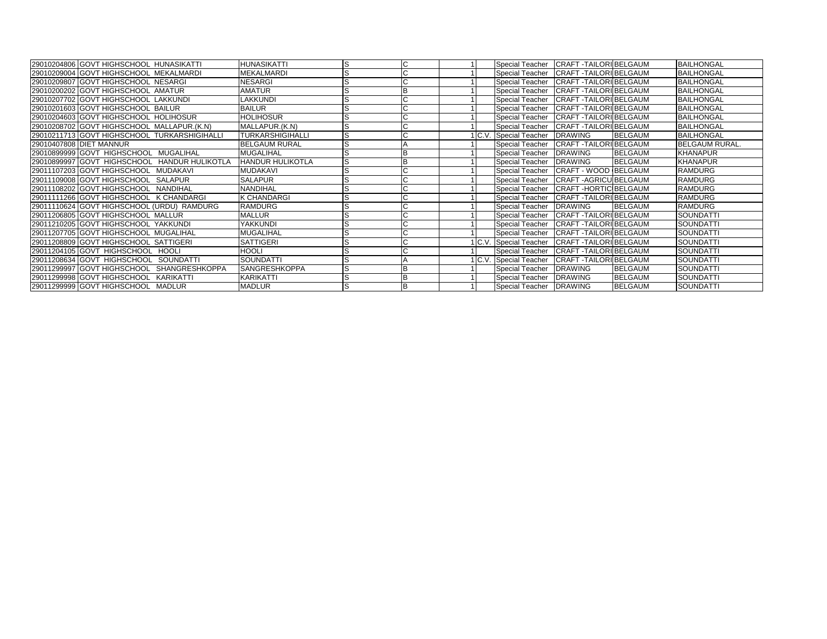| 29010204806 GOVT HIGHSCHOOL HUNASIKATTI       | <b>HUNASIKATTI</b>      | lS |              |  | <b>Special Teacher</b>                  | <b>CRAFT-TAILORIBELGAUM</b> |                | <b>BAILHONGAL</b>     |
|-----------------------------------------------|-------------------------|----|--------------|--|-----------------------------------------|-----------------------------|----------------|-----------------------|
| 29010209004 GOVT HIGHSCHOOL MEKALMARDI        | <b>MEKALMARDI</b>       |    | $\sim$<br>ι. |  | <b>Special Teacher</b>                  | <b>CRAFT-TAILORIBELGAUM</b> |                | <b>BAILHONGAL</b>     |
| 29010209807 GOVT HIGHSCHOOL NESARGI           | <b>NESARGI</b>          |    |              |  | Special Teacher CRAFT - TAILORI BELGAUM |                             |                | <b>BAILHONGAL</b>     |
| 29010200202 GOVT HIGHSCHOOL AMATUR            | <b>AMATUR</b>           |    |              |  | <b>Special Teacher</b>                  | <b>CRAFT-TAILORIBELGAUM</b> |                | <b>BAILHONGAL</b>     |
| 29010207702 GOVT HIGHSCHOOL LAKKUNDI          | LAKKUNDI                |    |              |  | <b>Special Teacher</b>                  | CRAFT - TAILORI BELGAUM     |                | <b>BAILHONGAL</b>     |
| 29010201603 GOVT HIGHSCHOOL BAILUR            | <b>BAILUR</b>           |    |              |  | Special Teacher                         | <b>CRAFT-TAILORIBELGAUM</b> |                | <b>BAILHONGAL</b>     |
| 29010204603 GOVT HIGHSCHOOL HOLIHOSUR         | <b>HOLIHOSUR</b>        |    |              |  | <b>Special Teacher</b>                  | CRAFT - TAILORI BELGAUM     |                | <b>BAILHONGAL</b>     |
| 29010208702 GOVT HIGHSCHOOL MALLAPUR.(K.N)    | MALLAPUR.(K.N)          |    |              |  | <b>Special Teacher</b>                  | <b>CRAFT-TAILORIBELGAUM</b> |                | <b>BAILHONGAL</b>     |
| 29010211713 GOVT HIGHSCHOOL TURKARSHIGIHALLI  | <b>TURKARSHIGIHALLI</b> |    |              |  | 1 C.V. Special Teacher                  | <b>DRAWING</b>              | <b>BELGAUM</b> | <b>BAILHONGAL</b>     |
| 29010407808 DIET MANNUR                       | <b>BELGAUM RURAL</b>    |    |              |  | <b>Special Teacher</b>                  | CRAFT - TAILORI BELGAUM     |                | <b>BELGAUM RURAL.</b> |
| 29010899999 GOVT HIGHSCHOOL MUGALIHAL         | <b>MUGALIHAL</b>        |    |              |  | <b>Special Teacher</b>                  | <b>DRAWING</b>              | <b>BELGAUM</b> | <b>KHANAPUR</b>       |
| 29010899997 GOVT HIGHSCHOOL HANDUR HULIKOTLA  | <b>HANDUR HULIKOTLA</b> |    |              |  | <b>Special Teacher</b>                  | <b>DRAWING</b>              | <b>BELGAUM</b> | <b>KHANAPUR</b>       |
| 29011107203 GOVT HIGHSCHOOL MUDAKAVI          | <b>MUDAKAVI</b>         |    |              |  | <b>Special Teacher</b>                  | CRAFT - WOOD BELGAUM        |                | <b>RAMDURG</b>        |
| 29011109008 GOVT HIGHSCHOOL SALAPUR           | <b>SALAPUR</b>          | ıъ | $\sim$       |  | <b>Special Teacher</b>                  | <b>CRAFT-AGRICU BELGAUM</b> |                | <b>RAMDURG</b>        |
| 29011108202 GOVT.HIGHSCHOOL NANDIHAL          | <b>NANDIHAL</b>         |    |              |  | <b>Special Teacher</b>                  | <b>CRAFT-HORTIC BELGAUM</b> |                | <b>RAMDURG</b>        |
| 29011111266 GOVT HIGHSCHOOL K CHANDARGI       | <b>K CHANDARGI</b>      |    |              |  | <b>Special Teacher</b>                  | <b>CRAFT-TAILORIBELGAUM</b> |                | <b>RAMDURG</b>        |
| 29011110624 GOVT HIGHSCHOOL (URDU) RAMDURG    | <b>RAMDURG</b>          |    |              |  | <b>Special Teacher</b>                  | <b>DRAWING</b>              | <b>BELGAUM</b> | <b>RAMDURG</b>        |
| 29011206805 GOVT HIGHSCHOOL MALLUR            | <b>MALLUR</b>           |    |              |  | <b>Special Teacher</b>                  | CRAFT - TAILORI BELGAUM     |                | <b>SOUNDATTI</b>      |
| 29011210205 GOVT HIGHSCHOOL YAKKUNDI          | YAKKUNDI                |    | $\sim$       |  | <b>Special Teacher</b>                  | CRAFT - TAILORI BELGAUM     |                | <b>SOUNDATTI</b>      |
| 29011207705 GOVT HIGHSCHOOL MUGALIHAL         | <b>MUGALIHAL</b>        |    |              |  | Special Teacher                         | <b>CRAFT-TAILORIBELGAUM</b> |                | <b>SOUNDATTI</b>      |
| 29011208809 GOVT HIGHSCHOOL SATTIGERI         | <b>SATTIGERI</b>        |    |              |  | 1 C.V. Special Teacher                  | <b>CRAFT-TAILORIBELGAUM</b> |                | <b>SOUNDATTI</b>      |
| 29011204105 GOVT HIGHSCHOOL HOOLI             | <b>HOOLI</b>            |    |              |  | <b>Special Teacher</b>                  | <b>CRAFT-TAILORIBELGAUM</b> |                | <b>SOUNDATTI</b>      |
| 29011208634 GOVT HIGHSCHOOL<br>SOUNDATTI      | SOUNDATTI               |    |              |  | 1 C.V. Special Teacher                  | <b>CRAFT-TAILORIBELGAUM</b> |                | SOUNDATTI             |
| 29011299997 GOVT HIGHSCHOOL<br>SHANGRESHKOPPA | <b>SANGRESHKOPPA</b>    |    |              |  | <b>Special Teacher</b>                  | <b>DRAWING</b>              | <b>BELGAUM</b> | <b>SOUNDATTI</b>      |
| 29011299998 GOVT HIGHSCHOOL KARIKATTI         | KARIKATTI               |    |              |  | <b>Special Teacher</b>                  | <b>DRAWING</b>              | <b>BELGAUM</b> | <b>SOUNDATTI</b>      |
| 29011299999 GOVT HIGHSCHOOL MADLUR            | <b>MADLUR</b>           |    | B            |  | Special Teacher DRAWING                 |                             | <b>BELGAUM</b> | <b>SOUNDATTI</b>      |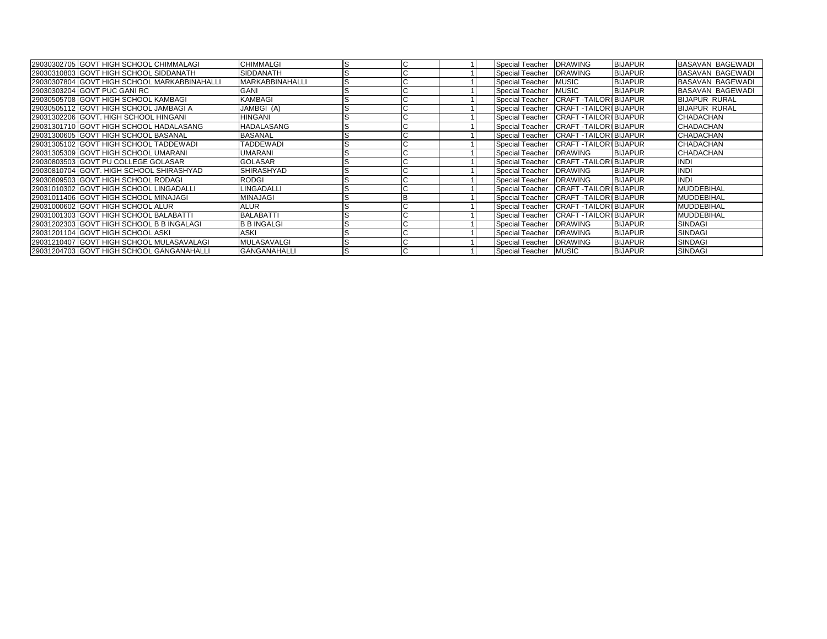| 29030302705 GOVT HIGH SCHOOL CHIMMALAGI      | <b>CHIMMALGI</b>       | ıъ | ◡                        |  | Special Teacher                         | <b>DRAWING</b>               | <b>BIJAPUR</b> | <b>BASAVAN BAGEWADI</b> |
|----------------------------------------------|------------------------|----|--------------------------|--|-----------------------------------------|------------------------------|----------------|-------------------------|
| 29030310803 GOVT HIGH SCHOOL SIDDANATH       | SIDDANATH              |    |                          |  | <b>Special Teacher</b>                  | <b>DRAWING</b>               | <b>BIJAPUR</b> | <b>BASAVAN BAGEWADI</b> |
| 29030307804 GOVT HIGH SCHOOL MARKABBINAHALLI | <b>MARKABBINAHALLI</b> |    |                          |  | <b>Special Teacher</b>                  | <b>MUSIC</b>                 | <b>BIJAPUR</b> | <b>BASAVAN BAGEWADI</b> |
| 29030303204 GOVT PUC GANI RC                 | GANI                   |    |                          |  | <b>Special Teacher</b>                  | <b>MUSIC</b>                 | <b>BIJAPUR</b> | <b>BASAVAN BAGEWADI</b> |
| 29030505708 GOVT HIGH SCHOOL KAMBAGI         | <b>KAMBAGI</b>         |    |                          |  | Special Teacher                         | <b>CRAFT-TAILORI BIJAPUR</b> |                | <b>BIJAPUR RURAL</b>    |
| 29030505112 GOVT HIGH SCHOOL JAMBAGI A       | JAMBGI (A)             |    |                          |  | Special Teacher                         | <b>CRAFT-TAILORI BIJAPUR</b> |                | <b>BIJAPUR RURAL</b>    |
| 29031302206 GOVT. HIGH SCHOOL HINGANI        | <b>HINGANI</b>         |    |                          |  | <b>Special Teacher</b>                  | <b>CRAFT-TAILORI BIJAPUR</b> |                | CHADACHAN               |
| 29031301710 GOVT HIGH SCHOOL HADALASANG      | <b>HADALASANG</b>      |    |                          |  | <b>Special Teacher</b>                  | <b>CRAFT-TAILORIBIJAPUR</b>  |                | CHADACHAN               |
| 29031300605 GOVT HIGH SCHOOL BASANAL         | <b>BASANAL</b>         |    |                          |  | Special Teacher                         | <b>CRAFT-TAILORIBIJAPUR</b>  |                | CHADACHAN               |
| 29031305102 GOVT HIGH SCHOOL TADDEWADI       | <b>TADDEWADI</b>       |    |                          |  | <b>Special Teacher</b>                  | <b>CRAFT-TAILORI BIJAPUR</b> |                | CHADACHAN               |
| 29031305309 GOVT HIGH SCHOOL UMARANI         | <b>UMARANI</b>         |    | U                        |  | Special Teacher                         | <b>DRAWING</b>               | <b>BIJAPUR</b> | <b>CHADACHAN</b>        |
| 29030803503 GOVT PU COLLEGE GOLASAR          | <b>GOLASAR</b>         |    | $\overline{\phantom{0}}$ |  | Special Teacher CRAFT - TAILORI BIJAPUR |                              |                | <b>INDI</b>             |
| 29030810704 GOVT. HIGH SCHOOL SHIRASHYAD     | <b>SHIRASHYAD</b>      |    |                          |  | <b>Special Teacher</b>                  | <b>DRAWING</b>               | <b>BIJAPUR</b> | <b>INDI</b>             |
| 29030809503 GOVT HIGH SCHOOL RODAGI          | <b>RODGI</b>           |    | U                        |  | <b>Special Teacher</b>                  | <b>DRAWING</b>               | <b>BIJAPUR</b> | <b>INDI</b>             |
| 29031010302 GOVT HIGH SCHOOL LINGADALLI      | LINGADALLI             |    |                          |  | <b>Special Teacher</b>                  | <b>CRAFT-TAILORI BIJAPUR</b> |                | <b>MUDDEBIHAL</b>       |
| 29031011406 GOVT HIGH SCHOOL MINAJAGI        | <b>MINAJAGI</b>        |    |                          |  | Special Teacher                         | <b>CRAFT-TAILORI BIJAPUR</b> |                | <b>MUDDEBIHAL</b>       |
| 29031000602 GOVT HIGH SCHOOL ALUR            | <b>ALUR</b>            |    |                          |  | <b>Special Teacher</b>                  | <b>CRAFT-TAILORIBIJAPUR</b>  |                | <b>MUDDEBIHAL</b>       |
| 29031001303 GOVT HIGH SCHOOL BALABATTI       | <b>BALABATTI</b>       |    |                          |  | <b>Special Teacher</b>                  | <b>CRAFT-TAILORIBIJAPUR</b>  |                | <b>MUDDEBIHAL</b>       |
| 29031202303 GOVT HIGH SCHOOL B B INGALAGI    | <b>B B INGALGI</b>     |    |                          |  | <b>Special Teacher</b>                  | <b>DRAWING</b>               | <b>BIJAPUR</b> | SINDAGI                 |
| 29031201104 GOVT HIGH SCHOOL ASKI            | <b>ASKI</b>            |    |                          |  | <b>Special Teacher</b>                  | <b>DRAWING</b>               | <b>BIJAPUR</b> | <b>SINDAGI</b>          |
| 29031210407 GOVT HIGH SCHOOL MULASAVALAGI    | <b>MULASAVALGI</b>     |    | ື                        |  | <b>Special Teacher</b>                  | <b>IDRAWING</b>              | <b>BIJAPUR</b> | SINDAGI                 |
| 29031204703 GOVT HIGH SCHOOL GANGANAHALLI    | <b>GANGANAHALLI</b>    |    |                          |  | Special Teacher MUSIC                   |                              | <b>BIJAPUR</b> | <b>SINDAGI</b>          |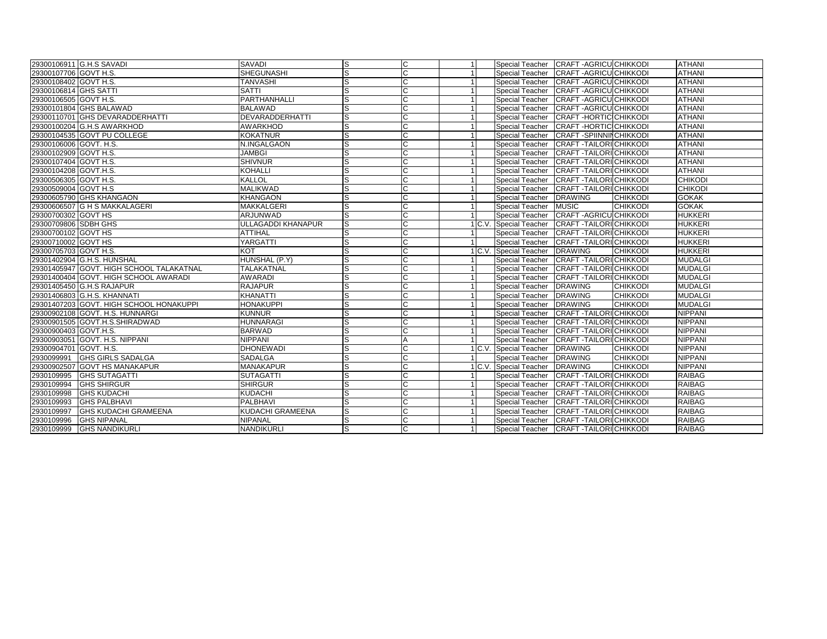| 29300106911 G.H.S SAVADI                  | SAVADI                    | ls             | IС             | -1 | Special Teacher CRAFT - AGRICU CHIKKODI        |                                 |                 | <b>ATHANI</b>  |
|-------------------------------------------|---------------------------|----------------|----------------|----|------------------------------------------------|---------------------------------|-----------------|----------------|
| 29300107706 GOVT H.S.                     | <b>SHEGUNASHI</b>         | G              | lC.            |    | Special Teacher CRAFT - AGRICU CHIKKODI        |                                 |                 | <b>ATHANI</b>  |
| 29300108402 GOVT H.S.                     | <b>TANVASHI</b>           | S              | C              |    | Special Teacher CRAFT - AGRICU CHIKKODI        |                                 |                 | <b>ATHANI</b>  |
| 29300106814 GHS SATTI                     | <b>SATTI</b>              | $\overline{s}$ | $\mathsf{C}$   |    | Special Teacher CRAFT - AGRICU CHIKKODI        |                                 |                 | <b>ATHANI</b>  |
| 29300106505 GOVT H.S.                     | PARTHANHALLI              | s              | C              |    | Special Teacher                                | <b>CRAFT-AGRICU CHIKKODI</b>    |                 | <b>ATHANI</b>  |
| 29300101804 GHS BALAWAD                   | <b>BALAWAD</b>            | S              | C              |    | Special Teacher CRAFT - AGRICU CHIKKODI        |                                 |                 | <b>ATHANI</b>  |
| 29300110701 GHS DEVARADDERHATTI           | <b>DEVARADDERHATTI</b>    | S              | C              |    | Special Teacher CRAFT - HORTIC CHIKKODI        |                                 |                 | <b>ATHANI</b>  |
| 29300100204 G.H.S AWARKHOD                | <b>AWARKHOD</b>           | S              | C              |    | Special Teacher                                | <b>CRAFT-HORTICICHIKKODI</b>    |                 | <b>ATHANI</b>  |
| 29300104535 GOVT PU COLLEGE               | <b>KOKATNUR</b>           | S              | C              |    | <b>Special Teacher</b>                         | <b>CRAFT -SPIINNINCHIKKODI</b>  |                 | <b>ATHANI</b>  |
| 29300106006 GOVT. H.S.                    | N.INGALGAON               | S              | C              |    | Special Teacher                                | <b>CRAFT - TAILORI CHIKKODI</b> |                 | <b>ATHANI</b>  |
| 29300102909 GOVT H.S.                     | <b>JAMBGI</b>             | S              | $\mathsf{C}$   |    | Special Teacher CRAFT - TAILORI CHIKKODI       |                                 |                 | <b>ATHANI</b>  |
| 29300107404 GOVT H.S.                     | <b>SHIVNUR</b>            | S              | C              |    | Special Teacher                                | <b>CRAFT - TAILORI CHIKKODI</b> |                 | <b>ATHANI</b>  |
| 29300104208 GOVT.H.S.                     | <b>KOHALLI</b>            | lS.            | C              |    | <b>Special Teacher</b>                         | <b>CRAFT - TAILORI CHIKKODI</b> |                 | <b>ATHANI</b>  |
| 29300506305 GOVT H.S.                     | <b>KALLOL</b>             | S              | C              |    | Special Teacher                                | <b>CRAFT-TAILORICHIKKODI</b>    |                 | <b>CHIKODI</b> |
| 29300509004 GOVT H.S                      | <b>MALIKWAD</b>           | S              | $\mathsf{C}$   |    | Special Teacher                                | <b>CRAFT - TAILORI CHIKKODI</b> |                 | <b>CHIKODI</b> |
| 29300605790 GHS KHANGAON                  | <b>KHANGAON</b>           | S              | C              |    | Special Teacher                                | <b>DRAWING</b>                  | <b>CHIKKODI</b> | <b>GOKAK</b>   |
| 29300606507 G H S MAKKALAGERI             | <b>MAKKALGERI</b>         | S              | C              |    | <b>Special Teacher</b>                         | <b>MUSIC</b>                    | <b>CHIKKODI</b> | <b>GOKAK</b>   |
| 29300700302 GOVT HS                       | ARJUNWAD                  | s              | C              |    | Special Teacher CRAFT - AGRICUICHIKKODI        |                                 |                 | <b>HUKKERI</b> |
| 29300709806 SDBH GHS                      | <b>ULLAGADDI KHANAPUR</b> | ls             | $\mathsf{C}$   |    | 1 C.V. Special Teacher CRAFT - TAILORICHIKKODI |                                 |                 | <b>HUKKERI</b> |
| 29300700102 GOVT HS                       | <b>ATTIHAL</b>            | S              | C              |    | Special Teacher CRAFT - TAILORICHIKKODI        |                                 |                 | <b>HUKKERI</b> |
| 29300710002 GOVT HS                       | YARGATTI                  | S              | С              |    | Special Teacher                                | <b>CRAFT-TAILORI CHIKKODI</b>   |                 | <b>HUKKERI</b> |
| 29300705703 GOVT H.S.                     | <b>KOT</b>                | s              | C              |    | 1 C.V. Special Teacher                         | <b>DRAWING</b>                  | <b>CHIKKODI</b> | <b>HUKKERI</b> |
| 29301402904 G.H.S. HUNSHAL                | HUNSHAL (P.Y)             | S              | $\mathsf{C}$   |    | Special Teacher CRAFT - TAILORICHIKKODI        |                                 |                 | <b>MUDALGI</b> |
| 29301405947 GOVT, HIGH SCHOOL TALAKATNAL  | <b>TALAKATNAL</b>         | S              | $\mathsf{C}$   |    | Special Teacher CRAFT - TAILORI CHIKKODI       |                                 |                 | <b>MUDALGI</b> |
| 29301400404 GOVT, HIGH SCHOOL AWARADI     | <b>AWARADI</b>            | lS             | $\overline{c}$ |    | Special Teacher                                | <b>CRAFT - TAILORI CHIKKODI</b> |                 | <b>MUDALGI</b> |
| 29301405450 G.H.S RAJAPUR                 | <b>RAJAPUR</b>            | lS.            | C              |    | <b>Special Teacher</b>                         | <b>DRAWING</b>                  | <b>CHIKKODI</b> | <b>MUDALGI</b> |
| 29301406803 G.H.S. KHANNATI               | <b>KHANATTI</b>           | S              | $\mathsf{C}$   |    | Special Teacher                                | <b>DRAWING</b>                  | <b>CHIKKODI</b> | <b>MUDALGI</b> |
| 29301407203 GOVT. HIGH SCHOOL HONAKUPPI   | <b>HONAKUPPI</b>          | ß              | $\mathsf{C}$   |    | Special Teacher                                | <b>DRAWING</b>                  | <b>CHIKKODI</b> | <b>MUDALGI</b> |
| 29300902108 GOVT. H.S. HUNNARGI           | <b>KUNNUR</b>             | S              | $\overline{c}$ |    | Special Teacher CRAFT - TAILORICHIKKODI        |                                 |                 | <b>NIPPANI</b> |
| 29300901505 GOVT.H.S.SHIRADWAD            | <b>HUNNARAGI</b>          | S              |                |    | Special Teacher                                | <b>CRAFT-TAILORI CHIKKODI</b>   |                 | <b>NIPPANI</b> |
| 29300900403 GOVT.H.S.                     | <b>BARWAD</b>             | S              | $\mathsf{C}$   |    | Special Teacher                                | <b>CRAFT - TAILORI CHIKKODI</b> |                 | <b>NIPPANI</b> |
| 29300903051 GOVT. H.S. NIPPANI            | <b>NIPPANI</b>            | S              | A              |    | Special Teacher                                | <b>CRAFT - TAILORI CHIKKODI</b> |                 | <b>NIPPANI</b> |
| 29300904701 GOVT. H.S.                    | <b>DHONEWADI</b>          | s              | С              |    | 1 C.V. Special Teacher                         | <b>DRAWING</b>                  | <b>CHIKKODI</b> | NIPPANI        |
| 2930099991 GHS GIRLS SADALGA              | <b>SADALGA</b>            | S              | $\overline{c}$ |    | Special Teacher                                | <b>DRAWING</b>                  | <b>CHIKKODI</b> | <b>NIPPANI</b> |
| 29300902507 GOVT HS MANAKAPUR             | <b>MANAKAPUR</b>          | S              | C              |    | C.V. Special Teacher                           | <b>DRAWING</b>                  | <b>CHIKKODI</b> | <b>NIPPANI</b> |
| 2930109995<br><b>GHS SUTAGATTI</b>        | <b>SUTAGATTI</b>          | S              | C              |    | Special Teacher                                | <b>CRAFT - TAILORI CHIKKODI</b> |                 | <b>RAIBAG</b>  |
| 2930109994<br><b>GHS SHIRGUR</b>          | <b>SHIRGUR</b>            | S              | C              |    | Special Teacher CRAFT - TAILORICHIKKODI        |                                 |                 | <b>RAIBAG</b>  |
| 2930109998<br><b>GHS KUDACHI</b>          | <b>KUDACHI</b>            | S              | C              |    | Special Teacher CRAFT - TAILORICHIKKODI        |                                 |                 | <b>RAIBAG</b>  |
| 2930109993<br><b>GHS PALBHAVI</b>         | <b>PALBHAVI</b>           | S              | $\mathsf{C}$   |    | <b>Special Teacher</b>                         | <b>CRAFT - TAILORI CHIKKODI</b> |                 | <b>RAIBAG</b>  |
| 2930109997<br><b>GHS KUDACHI GRAMEENA</b> | <b>KUDACHI GRAMEENA</b>   | S              | C              |    | Special Teacher                                | <b>CRAFT-TAILORICHIKKODI</b>    |                 | <b>RAIBAG</b>  |
| <b>GHS NIPANAL</b><br>2930109996          | <b>NIPANAL</b>            | S              | C              |    | Special Teacher CRAFT - TAILORICHIKKODI        |                                 |                 | <b>RAIBAG</b>  |
| <b>GHS NANDIKURLI</b><br>2930109999       | <b>NANDIKURLI</b>         | S              | C              |    | Special Teacher CRAFT - TAILORICHIKKODI        |                                 |                 | <b>RAIBAG</b>  |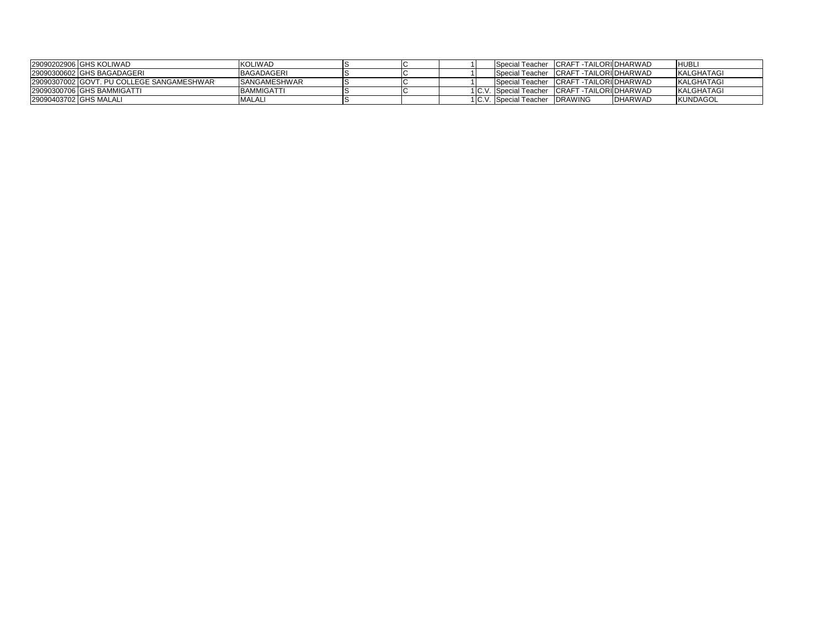| 29090202906 GHS KOLIWAD                   | <b>KOLIWAD</b>       |  |  | Special Teacher CRAFT - TAILORI DHARWAD        |                 | <b>HUBL</b>       |
|-------------------------------------------|----------------------|--|--|------------------------------------------------|-----------------|-------------------|
| 29090300602 IGHS BAGADAGERI               | BAGADAGERI           |  |  | Special Teacher CRAFT - TAILORI DHARWAD        |                 | KALGHATAGI        |
| 29090307002 GOVT. PU COLLEGE SANGAMESHWAR | <b>ISANGAMESHWAR</b> |  |  | Special Teacher CRAFT - TAILORI DHARWAD        |                 | <b>KALGHATAGI</b> |
| 29090300706 GHS BAMMIGATTI                | <b>BAMMIGATTI</b>    |  |  | 1 C.V. Special Teacher CRAFT - TAILORI DHARWAD |                 | KALGHATAGI        |
| 29090403702 GHS MALALI                    | <b>MALAL</b>         |  |  | 1 C.V. Special Teacher IDRAWING                | <b>IDHARWAD</b> | <b>KUNDAGOL</b>   |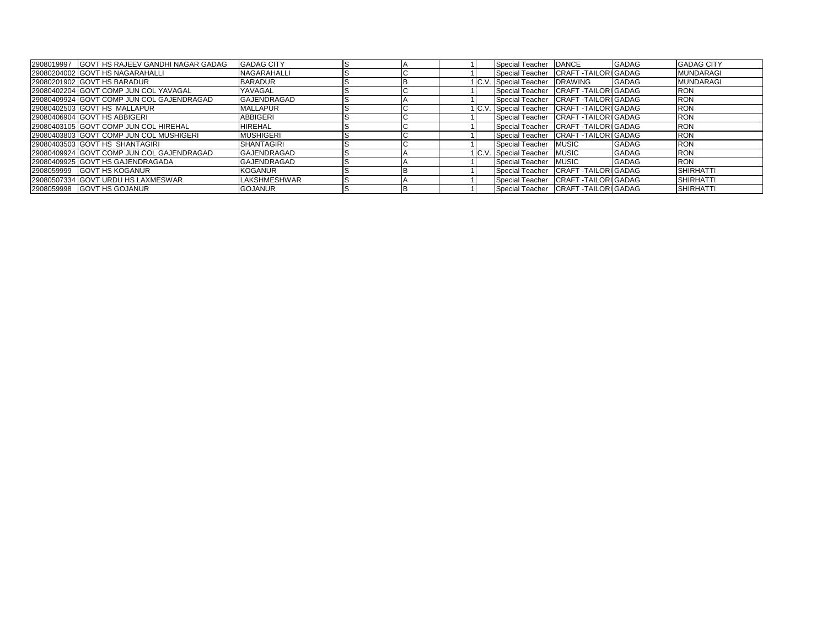| 2908019997 GOVT HS RAJEEV GANDHI NAGAR GADAG | <b>GADAG CITY</b>   |  | Special Teacher DANCE                       |                                       | <b>GADAG</b> | <b>GADAG CITY</b> |
|----------------------------------------------|---------------------|--|---------------------------------------------|---------------------------------------|--------------|-------------------|
| 29080204002 GOVT HS NAGARAHALLI              | <b>NAGARAHALLI</b>  |  |                                             | Special Teacher CRAFT - TAILORI GADAG |              | <b>MUNDARAGI</b>  |
| 29080201902 GOVT HS BARADUR                  | <b>BARADUR</b>      |  | C.V. Special Teacher DRAWING                |                                       | <b>GADAG</b> | <b>MUNDARAGI</b>  |
| 29080402204 GOVT COMP JUN COL YAVAGAL        | YAVAGAL             |  |                                             | Special Teacher CRAFT - TAILORI GADAG |              | <b>RON</b>        |
| 29080409924 GOVT COMP JUN COL GAJENDRAGAD    | <b>GAJENDRAGAD</b>  |  |                                             | Special Teacher CRAFT - TAILORI GADAG |              | <b>RON</b>        |
| 29080402503 GOVT HS MALLAPUR                 | <b>MALLAPUR</b>     |  | 1 C.V. Special Teacher CRAFT -TAILORI GADAG |                                       |              | <b>RON</b>        |
| 29080406904 GOVT HS ABBIGERI                 | <b>ABBIGERI</b>     |  |                                             | Special Teacher CRAFT - TAILORI GADAG |              | <b>RON</b>        |
| 29080403105 GOVT COMP JUN COL HIREHAL        | <b>HIREHAL</b>      |  |                                             | Special Teacher CRAFT - TAILORI GADAG |              | <b>RON</b>        |
| 29080403803 GOVT COMP JUN COL MUSHIGERI      | <b>MUSHIGERI</b>    |  |                                             | Special Teacher CRAFT - TAILORI GADAG |              | <b>RON</b>        |
| 29080403503 GOVT HS SHANTAGIRI               | <b>SHANTAGIRI</b>   |  | Special Teacher MUSIC                       |                                       | <b>GADAG</b> | <b>RON</b>        |
| 29080409924 GOVT COMP JUN COL GAJENDRAGAD    | <b>IGAJENDRAGAD</b> |  | I C.V. Special Teacher MUSIC                |                                       | <b>GADAG</b> | <b>RON</b>        |
| 29080409925 GOVT HS GAJENDRAGADA             | <b>GAJENDRAGAD</b>  |  | Special Teacher MUSIC                       |                                       | <b>GADAG</b> | <b>RON</b>        |
| 2908059999 GOVT HS KOGANUR                   | <b>KOGANUR</b>      |  |                                             | Special Teacher CRAFT TAILORI GADAG   |              | <b>SHIRHATTI</b>  |
| 29080507334 GOVT URDU HS LAXMESWAR           | <b>LAKSHMESHWAR</b> |  |                                             | Special Teacher CRAFT - TAILORI GADAG |              | <b>SHIRHATTI</b>  |
| 2908059998 GOVT HS GOJANUR                   | <b>GOJANUR</b>      |  |                                             | Special Teacher CRAFT - TAILORI GADAG |              | <b>SHIRHATTI</b>  |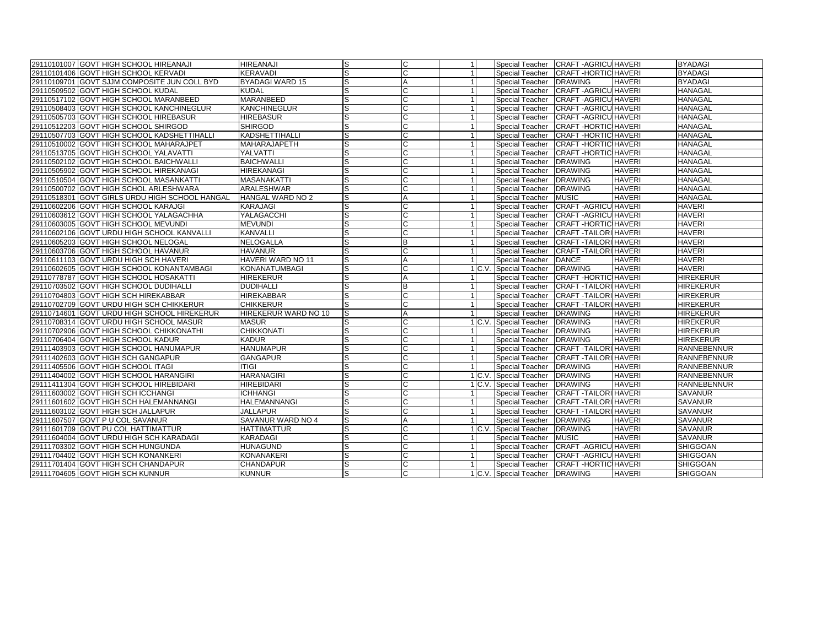| 29110101007 GOVT HIGH SCHOOL HIREANAJI         | <b>HIREANAJI</b>         |          |    |   |                                | Special Teacher CRAFT - AGRICU HAVERI |               | <b>BYADAGI</b>     |
|------------------------------------------------|--------------------------|----------|----|---|--------------------------------|---------------------------------------|---------------|--------------------|
| 29110101406 GOVT HIGH SCHOOL KERVADI           | <b>KERAVADI</b>          | S        |    |   | Special Teacher                | <b>CRAFT-HORTIC HAVERI</b>            |               | <b>BYADAGI</b>     |
| 29110109701 GOVT SJJM COMPOSITE JUN COLL BYD   | <b>BYADAGI WARD 15</b>   | S        | А  |   | Special Teacher                | <b>DRAWING</b>                        | <b>HAVERI</b> | <b>BYADAGI</b>     |
| 29110509502 GOVT HIGH SCHOOL KUDAL             | <b>KUDAL</b>             |          |    |   | Special Teacher                | <b>CRAFT-AGRICU HAVERI</b>            |               | <b>HANAGAL</b>     |
| 29110517102 GOVT HIGH SCHOOL MARANBEED         | <b>MARANBEED</b>         | S        | С  |   | Special Teacher                | <b>CRAFT-AGRICU HAVERI</b>            |               | <b>HANAGAL</b>     |
| 29110508403 GOVT HIGH SCHOOL KANCHINEGLUR      | <b>KANCHINEGLUR</b>      |          |    |   | Special Teacher                | <b>CRAFT-AGRICU HAVERI</b>            |               | <b>HANAGAL</b>     |
| 29110505703 GOVT HIGH SCHOOL HIREBASUR         | <b>HIREBASUR</b>         |          | Ċ  |   | Special Teacher                | CRAFT-AGRICU HAVERI                   |               | <b>HANAGAL</b>     |
| 29110512203 GOVT HIGH SCHOOL SHIRGOD           | SHIRGOD                  | S        | C  |   | Special Teacher                | <b>CRAFT-HORTIC HAVERI</b>            |               | <b>HANAGAL</b>     |
| 29110507703 GOVT HIGH SCHOOL KADSHETTIHALLI    | KADSHETTIHALLI           |          |    |   | Special Teacher                | <b>CRAFT-HORTIC HAVERI</b>            |               | <b>HANAGAL</b>     |
| 29110510002 GOVT HIGH SCHOOL MAHARAJPET        | <b>MAHARAJAPETH</b>      | lS       | C  |   | Special Teacher                | <b>CRAFT-HORTIC HAVERI</b>            |               | <b>HANAGAL</b>     |
| 29110513705 GOVT HIGH SCHOOL YALAVATTI         | YALVATTI                 |          |    |   | Special Teacher                | <b>CRAFT-HORTIC HAVERI</b>            |               | <b>HANAGAL</b>     |
| 29110502102 GOVT HIGH SCHOOL BAICHWALLI        | <b>BAICHWALLI</b>        |          |    |   | Special Teacher                | <b>DRAWING</b>                        | <b>HAVERI</b> | <b>HANAGAL</b>     |
| 29110505902 GOVT HIGH SCHOOL HIREKANAGI        | <b>HIREKANAGI</b>        | lS       | С  |   | Special Teacher                | <b>DRAWING</b>                        | <b>HAVERI</b> | <b>HANAGAL</b>     |
| 29110510504 GOVT HIGH SCHOOL MASANKATTI        | <b>MASANAKATTI</b>       |          | C  |   | Special Teacher                | <b>DRAWING</b>                        | <b>HAVERI</b> | <b>HANAGAL</b>     |
| 29110500702 GOVT HIGH SCHOL ARLESHWARA         | ARALESHWAR               | S        | C  |   | Special Teacher                | <b>DRAWING</b>                        | <b>HAVERI</b> | HANAGAL            |
| 29110518301 GOVT GIRLS URDU HIGH SCHOOL HANGAL | <b>HANGAL WARD NO 2</b>  |          | А  |   | Special Teacher                | <b>MUSIC</b>                          | <b>HAVERI</b> | <b>HANAGAL</b>     |
| 29110602206 GOVT HIGH SCHOOL KARAJGI           | <b>KARAJAGI</b>          |          |    |   | Special Teacher                | <b>CRAFT-AGRICU HAVERI</b>            |               | <b>HAVERI</b>      |
| 29110603612 GOVT HIGH SCHOOL YALAGACHHA        | YALAGACCHI               | S        | Ċ  |   | Special Teacher                | <b>CRAFT-AGRICU HAVERI</b>            |               | <b>HAVERI</b>      |
| 29110603005 GOVT HIGH SCHOOL MEVUNDI           | <b>MEVUNDI</b>           |          | C  |   | Special Teacher                | <b>CRAFT-HORTIC HAVERI</b>            |               | <b>HAVERI</b>      |
| 29110602106 GOVT URDU HIGH SCHOOL KANVALLI     | <b>KANVALLI</b>          | S        | C  |   | Special Teacher                | <b>CRAFT - TAILORI HAVERI</b>         |               | <b>HAVERI</b>      |
| 29110605203 GOVT HIGH SCHOOL NELOGAL           | <b>NELOGALLA</b>         |          | B  |   | Special Teacher                | <b>CRAFT - TAILORI HAVERI</b>         |               | <b>HAVERI</b>      |
| 29110603706 GOVT HIGH SCHOOL HAVANUR           | <b>HAVANUR</b>           | S        | C  |   | Special Teacher                | <b>CRAFT -TAILORI HAVERI</b>          |               | <b>HAVERI</b>      |
| 29110611103 GOVT URDU HIGH SCH HAVERI          | HAVERI WARD NO 11        |          |    |   | Special Teacher                | <b>DANCE</b>                          | <b>HAVERI</b> | <b>HAVERI</b>      |
| 29110602605 GOVT HIGH SCHOOL KONANTAMBAGI      | KONANATUMBAGI            |          |    |   | 1 C.V. Special Teacher         | <b>DRAWING</b>                        | <b>HAVERI</b> | <b>HAVERI</b>      |
| 29110778787 GOVT HIGH SCHOOL HOSAKATTI         | <b>HIREKERUR</b>         | S        | A  |   | Special Teacher                | <b>CRAFT-HORTIC HAVERI</b>            |               | <b>HIREKERUR</b>   |
| 29110703502 GOVT HIGH SCHOOL DUDIHALLI         | <b>DUDIHALLI</b>         |          | B  |   | Special Teacher                | <b>CRAFT - TAILORI HAVERI</b>         |               | <b>HIREKERUR</b>   |
| 29110704803 GOVT HIGH SCH HIREKABBAR           | <b>HIREKABBAR</b>        | S        | C. |   | Special Teacher                | <b>CRAFT - TAILORI HAVERI</b>         |               | <b>HIREKERUR</b>   |
| 29110702709 GOVT URDU HIGH SCH CHIKKERUR       | <b>CHIKKERUR</b>         |          |    |   | Special Teacher                | <b>CRAFT-TAILORI HAVERI</b>           |               | <b>HIREKERUR</b>   |
| 29110714601 GOVT URDU HIGH SCHOOL HIREKERUR    | HIREKERUR WARD NO 10     | ls       | А  |   | Special Teacher                | <b>DRAWING</b>                        | <b>HAVERI</b> | <b>HIREKERUR</b>   |
| 29110708314 GOVT URDU HIGH SCHOOL MASUR        | <b>MASUR</b>             | lS       | C  |   | 1 C.V. Special Teacher         | <b>DRAWING</b>                        | <b>HAVERI</b> | <b>HIREKERUR</b>   |
| 29110702906 GOVT HIGH SCHOOL CHIKKONATHI       | <b>CHIKKONATI</b>        |          |    |   | Special Teacher                | <b>DRAWING</b>                        | <b>HAVERI</b> | <b>HIREKERUR</b>   |
| 29110706404 GOVT HIGH SCHOOL KADUR             | <b>KADUR</b>             | ls       | С  |   | Special Teacher                | <b>DRAWING</b>                        | <b>HAVERI</b> | <b>HIREKERUR</b>   |
| 29111403903 GOVT HIGH SCHOOL HANUMAPUR         | <b>HANUMAPUR</b>         |          |    |   | Special Teacher                | <b>CRAFT - TAILORI HAVERI</b>         |               | <b>RANNEBENNUR</b> |
| 29111402603 GOVT HIGH SCH GANGAPUR             | <b>GANGAPUR</b>          |          |    |   | Special Teacher                | <b>CRAFT - TAILORI HAVERI</b>         |               | <b>RANNEBENNUR</b> |
| 29111405506 GOVT HIGH SCHOOL ITAGI             | <b>ITIGI</b>             | ls       | Ċ  |   | Special Teacher                | <b>DRAWING</b>                        | <b>HAVERI</b> | <b>RANNEBENNUR</b> |
| 29111404002 GOVT HIGH SCHOOL HARANGIRI         | <b>HARANAGIRI</b>        |          |    |   | 1 C.V. Special Teacher         | <b>DRAWING</b>                        | <b>HAVERI</b> | <b>RANNEBENNUR</b> |
| 29111411304 GOVT HIGH SCHOOL HIREBIDARI        | <b>HIREBIDARI</b>        | S        | C  |   | 1 C.V. Special Teacher         | <b>DRAWING</b>                        | <b>HAVERI</b> | <b>RANNEBENNUR</b> |
| 29111603002 GOVT HIGH SCH ICCHANGI             | <b>ICHHANGI</b>          |          | Ć  |   | Special Teacher                | <b>CRAFT-TAILORI HAVERI</b>           |               | <b>SAVANUR</b>     |
| 29111601602 GOVT HIGH SCH HALEMANNANGI         | <b>HALEMANNANGI</b>      |          | Ċ  |   | Special Teacher                | <b>CRAFT-TAILORI HAVERI</b>           |               | <b>SAVANUR</b>     |
| 29111603102 GOVT HIGH SCH JALLAPUR             | <b>JALLAPUR</b>          | lS       | Ć  |   | Special Teacher                | <b>CRAFT -TAILORI HAVERI</b>          |               | <b>SAVANUR</b>     |
| 29111607507 GOVT P U COL SAVANUR               | <b>SAVANUR WARD NO 4</b> | S        | А  | 1 | Special Teacher                | <b>DRAWING</b>                        | <b>HAVERI</b> | <b>SAVANUR</b>     |
| 29111601709 GOVT PU COL HATTIMATTUR            | <b>HATTIMATTUR</b>       | S        | Ċ  |   | 1 C.V. Special Teacher         | <b>DRAWING</b>                        | <b>HAVERI</b> | <b>SAVANUR</b>     |
| 29111604004 GOVT URDU HIGH SCH KARADAGI        | <b>KARADAGI</b>          | S        | C  |   | Special Teacher                | <b>MUSIC</b>                          | <b>HAVERI</b> | <b>SAVANUR</b>     |
| 29111703302 GOVT HIGH SCH HUNGUNDA             | <b>HUNAGUND</b>          | <b>S</b> | С  |   | Special Teacher                | <b>CRAFT-AGRICU HAVERI</b>            |               | <b>SHIGGOAN</b>    |
| 29111704402 GOVT HIGH SCH KONANKERI            | <b>KONANAKERI</b>        |          | Ċ  |   | Special Teacher                | <b>CRAFT-AGRICU HAVERI</b>            |               | <b>SHIGGOAN</b>    |
| 29111701404 GOVT HIGH SCH CHANDAPUR            | <b>CHANDAPUR</b>         |          | C  |   | Special Teacher                | <b>CRAFT-HORTIC HAVERI</b>            |               | <b>SHIGGOAN</b>    |
| 29111704605 GOVT HIGH SCH KUNNUR               | <b>KUNNUR</b>            | ls       | C  |   | 1 C.V. Special Teacher DRAWING |                                       | <b>HAVERI</b> | <b>SHIGGOAN</b>    |